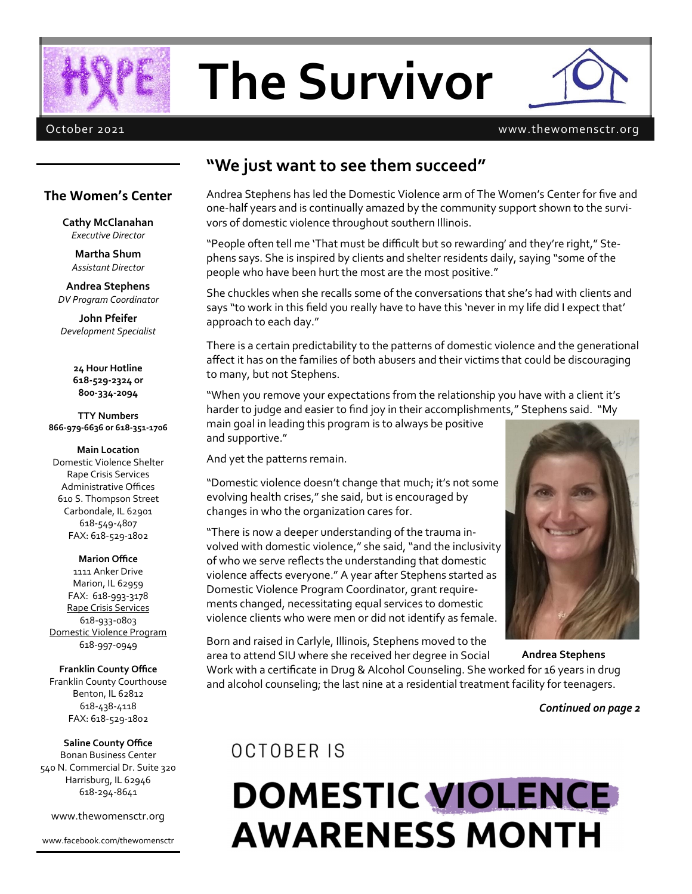

# **The Survivor**



### October 2021 www.thewomensctr.org

### **"We just want to see them succeed"**

### **The Women's Center**

**Cathy McClanahan** *Executive Director*

**Martha Shum** *Assistant Director*

**Andrea Stephens** *DV Program Coordinator*

**John Pfeifer** *Development Specialist*

> **24 Hour Hotline 618-529-2324 or 800-334-2094**

**TTY Numbers 866-979-6636 or 618-351-1706**

**Main Location** Domestic Violence Shelter Rape Crisis Services Administrative Offices 610 S. Thompson Street Carbondale, IL 62901 618-549-4807 FAX: 618-529-1802

**Marion Office** 1111 Anker Drive Marion, IL 62959 FAX: 618-993-3178 Rape Crisis Services 618-933-0803 Domestic Violence Program 618-997-0949

**Franklin County Office** Franklin County Courthouse Benton, IL 62812 618-438-4118 FAX: 618-529-1802

**Saline County Office** Bonan Business Center 540 N. Commercial Dr. Suite 320 Harrisburg, IL 62946 618-294-8641

www.thewomensctr.org

www.facebook.com/thewomensctr

Andrea Stephens has led the Domestic Violence arm of The Women's Center for five and one-half years and is continually amazed by the community support shown to the survivors of domestic violence throughout southern Illinois.

"People often tell me 'That must be difficult but so rewarding' and they're right," Stephens says. She is inspired by clients and shelter residents daily, saying "some of the people who have been hurt the most are the most positive."

She chuckles when she recalls some of the conversations that she's had with clients and says "to work in this field you really have to have this 'never in my life did I expect that' approach to each day."

There is a certain predictability to the patterns of domestic violence and the generational affect it has on the families of both abusers and their victims that could be discouraging to many, but not Stephens.

"When you remove your expectations from the relationship you have with a client it's harder to judge and easier to find joy in their accomplishments," Stephens said. "My main goal in leading this program is to always be positive and supportive."

And yet the patterns remain.

"Domestic violence doesn't change that much; it's not some evolving health crises," she said, but is encouraged by changes in who the organization cares for.

"There is now a deeper understanding of the trauma involved with domestic violence," she said, "and the inclusivity of who we serve reflects the understanding that domestic violence affects everyone." A year after Stephens started as Domestic Violence Program Coordinator, grant requirements changed, necessitating equal services to domestic violence clients who were men or did not identify as female.

Born and raised in Carlyle, Illinois, Stephens moved to the

area to attend SIU where she received her degree in Social Work with a certificate in Drug & Alcohol Counseling. She worked for 16 years in drug and alcohol counseling; the last nine at a residential treatment facility for teenagers. **Andrea Stephens**

*Continued on page 2*

## OCTOBER IS

## **DOMESTIC VIOLENCE AWARENESS MONTH**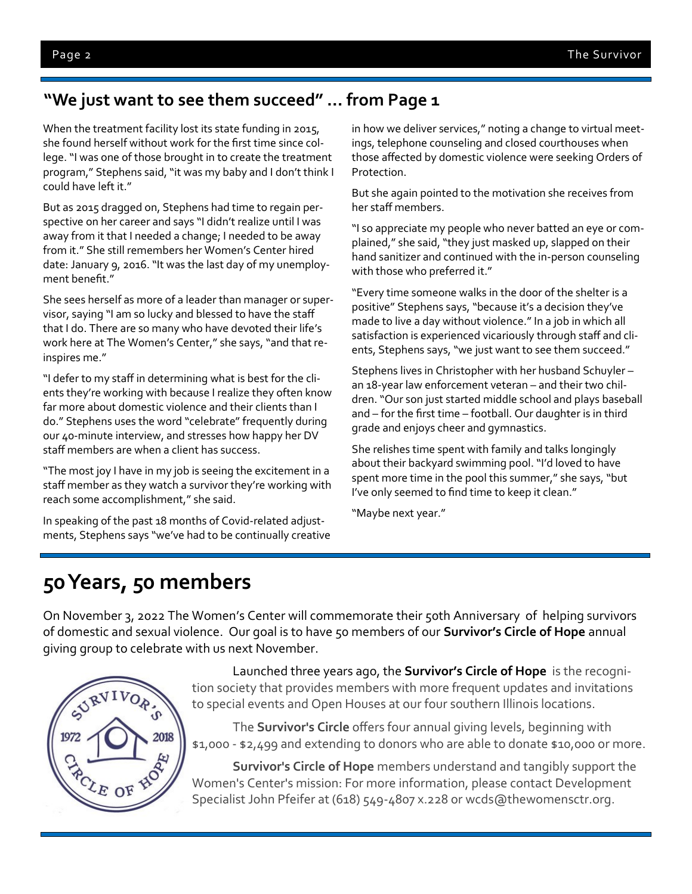## **"We just want to see them succeed" … from Page 1**

When the treatment facility lost its state funding in 2015, she found herself without work for the first time since college. "I was one of those brought in to create the treatment program," Stephens said, "it was my baby and I don't think I could have left it."

But as 2015 dragged on, Stephens had time to regain perspective on her career and says "I didn't realize until I was away from it that I needed a change; I needed to be away from it." She still remembers her Women's Center hired date: January 9, 2016. "It was the last day of my unemployment benefit."

She sees herself as more of a leader than manager or supervisor, saying "I am so lucky and blessed to have the staff that I do. There are so many who have devoted their life's work here at The Women's Center," she says, "and that reinspires me."

"I defer to my staff in determining what is best for the clients they're working with because I realize they often know far more about domestic violence and their clients than I do." Stephens uses the word "celebrate" frequently during our 40-minute interview, and stresses how happy her DV staff members are when a client has success.

"The most joy I have in my job is seeing the excitement in a staff member as they watch a survivor they're working with reach some accomplishment," she said.

In speaking of the past 18 months of Covid-related adjustments, Stephens says "we've had to be continually creative in how we deliver services," noting a change to virtual meetings, telephone counseling and closed courthouses when those affected by domestic violence were seeking Orders of Protection.

But she again pointed to the motivation she receives from her staff members.

"I so appreciate my people who never batted an eye or complained," she said, "they just masked up, slapped on their hand sanitizer and continued with the in-person counseling with those who preferred it."

"Every time someone walks in the door of the shelter is a positive" Stephens says, "because it's a decision they've made to live a day without violence." In a job in which all satisfaction is experienced vicariously through staff and clients, Stephens says, "we just want to see them succeed."

Stephens lives in Christopher with her husband Schuyler – an 18-year law enforcement veteran – and their two children. "Our son just started middle school and plays baseball and – for the first time – football. Our daughter is in third grade and enjoys cheer and gymnastics.

She relishes time spent with family and talks longingly about their backyard swimming pool. "I'd loved to have spent more time in the pool this summer," she says, "but I've only seemed to find time to keep it clean."

"Maybe next year."

## **50 Years, 50 members**

On November 3, 2022 The Women's Center will commemorate their 50th Anniversary of helping survivors of domestic and sexual violence. Our goal is to have 50 members of our **Survivor's Circle of Hope** annual giving group to celebrate with us next November.



Launched three years ago, the **Survivor's Circle of Hope** is the recognition society that provides members with more frequent updates and invitations to special events and Open Houses at our four southern Illinois locations.

The **Survivor's Circle** offers four annual giving levels, beginning with \$1,000 - \$2,499 and extending to donors who are able to donate \$10,000 or more.

**Survivor's Circle of Hope** members understand and tangibly support the Women's Center's mission: For more information, please contact Development Specialist John Pfeifer at (618) 549-4807 x.228 or wcds@thewomensctr.org.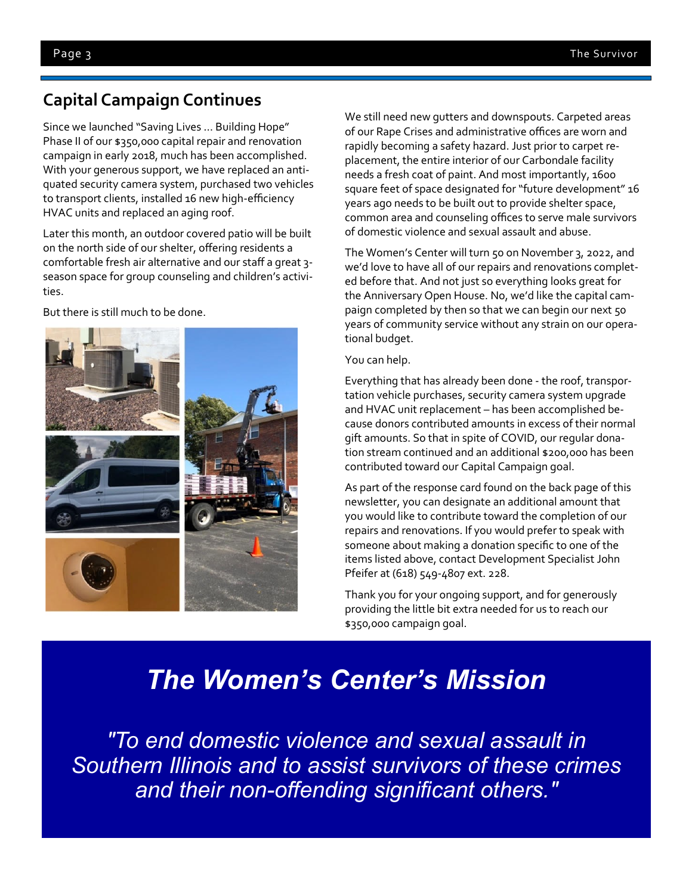## **Capital Campaign Continues**

Since we launched "Saving Lives … Building Hope" Phase II of our \$350,000 capital repair and renovation campaign in early 2018, much has been accomplished. With your generous support, we have replaced an antiquated security camera system, purchased two vehicles to transport clients, installed 16 new high-efficiency HVAC units and replaced an aging roof.

Later this month, an outdoor covered patio will be built on the north side of our shelter, offering residents a comfortable fresh air alternative and our staff a great 3 season space for group counseling and children's activities.

But there is still much to be done.



We still need new gutters and downspouts. Carpeted areas of our Rape Crises and administrative offices are worn and rapidly becoming a safety hazard. Just prior to carpet replacement, the entire interior of our Carbondale facility needs a fresh coat of paint. And most importantly, 1600 square feet of space designated for "future development" 16 years ago needs to be built out to provide shelter space, common area and counseling offices to serve male survivors of domestic violence and sexual assault and abuse.

The Women's Center will turn 50 on November 3, 2022, and we'd love to have all of our repairs and renovations completed before that. And not just so everything looks great for the Anniversary Open House. No, we'd like the capital campaign completed by then so that we can begin our next 50 years of community service without any strain on our operational budget.

### You can help.

Everything that has already been done - the roof, transportation vehicle purchases, security camera system upgrade and HVAC unit replacement – has been accomplished because donors contributed amounts in excess of their normal gift amounts. So that in spite of COVID, our regular donation stream continued and an additional \$200,000 has been contributed toward our Capital Campaign goal.

As part of the response card found on the back page of this newsletter, you can designate an additional amount that you would like to contribute toward the completion of our repairs and renovations. If you would prefer to speak with someone about making a donation specific to one of the items listed above, contact Development Specialist John Pfeifer at (618) 549-4807 ext. 228.

Thank you for your ongoing support, and for generously providing the little bit extra needed for us to reach our \$350,000 campaign goal.

## *The Women's Center's Mission*

*"To end domestic violence and sexual assault in Southern Illinois and to assist survivors of these crimes and their non-offending significant others."*